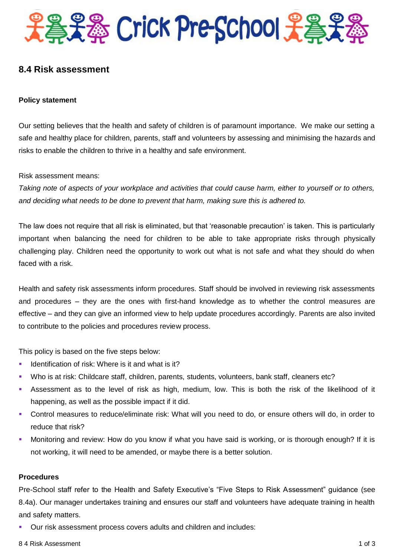

# **8.4 Risk assessment**

#### **Policy statement**

Our setting believes that the health and safety of children is of paramount importance. We make our setting a safe and healthy place for children, parents, staff and volunteers by assessing and minimising the hazards and risks to enable the children to thrive in a healthy and safe environment.

Risk assessment means:

*Taking note of aspects of your workplace and activities that could cause harm, either to yourself or to others, and deciding what needs to be done to prevent that harm, making sure this is adhered to.*

The law does not require that all risk is eliminated, but that 'reasonable precaution' is taken. This is particularly important when balancing the need for children to be able to take appropriate risks through physically challenging play. Children need the opportunity to work out what is not safe and what they should do when faced with a risk.

Health and safety risk assessments inform procedures. Staff should be involved in reviewing risk assessments and procedures – they are the ones with first-hand knowledge as to whether the control measures are effective – and they can give an informed view to help update procedures accordingly. Parents are also invited to contribute to the policies and procedures review process.

This policy is based on the five steps below:

- Identification of risk: Where is it and what is it?
- Who is at risk: Childcare staff, children, parents, students, volunteers, bank staff, cleaners etc?
- Assessment as to the level of risk as high, medium, low. This is both the risk of the likelihood of it happening, as well as the possible impact if it did.
- Control measures to reduce/eliminate risk: What will you need to do, or ensure others will do, in order to reduce that risk?
- Monitoring and review: How do you know if what you have said is working, or is thorough enough? If it is not working, it will need to be amended, or maybe there is a better solution.

#### **Procedures**

Pre-School staff refer to the Health and Safety Executive's "Five Steps to Risk Assessment" guidance (see 8.4a). Our manager undertakes training and ensures our staff and volunteers have adequate training in health and safety matters.

Our risk assessment process covers adults and children and includes: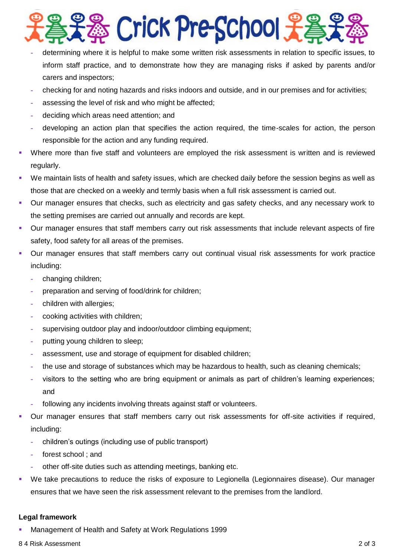

- **-** determining where it is helpful to make some written risk assessments in relation to specific issues, to inform staff practice, and to demonstrate how they are managing risks if asked by parents and/or carers and inspectors;
- **-** checking for and noting hazards and risks indoors and outside, and in our premises and for activities;
- **-** assessing the level of risk and who might be affected;
- **-** deciding which areas need attention; and
- **-** developing an action plan that specifies the action required, the time-scales for action, the person responsible for the action and any funding required.
- Where more than five staff and volunteers are employed the risk assessment is written and is reviewed regularly.
- We maintain lists of health and safety issues, which are checked daily before the session begins as well as those that are checked on a weekly and termly basis when a full risk assessment is carried out.
- Our manager ensures that checks, such as electricity and gas safety checks, and any necessary work to the setting premises are carried out annually and records are kept.
- Our manager ensures that staff members carry out risk assessments that include relevant aspects of fire safety, food safety for all areas of the premises.
- Our manager ensures that staff members carry out continual visual risk assessments for work practice including:
	- **-** changing children;
	- **-** preparation and serving of food/drink for children;
	- **-** children with allergies;
	- **-** cooking activities with children;
	- **-** supervising outdoor play and indoor/outdoor climbing equipment;
	- **-** putting young children to sleep;
	- **-** assessment, use and storage of equipment for disabled children;
	- **-** the use and storage of substances which may be hazardous to health, such as cleaning chemicals;
	- **-** visitors to the setting who are bring equipment or animals as part of children's learning experiences; and
	- **-** following any incidents involving threats against staff or volunteers.
- Our manager ensures that staff members carry out risk assessments for off-site activities if required, including:
	- **-** children's outings (including use of public transport)
	- **-** forest school ; and
	- **-** other off-site duties such as attending meetings, banking etc.
- We take precautions to reduce the risks of exposure to Legionella (Legionnaires disease). Our manager ensures that we have seen the risk assessment relevant to the premises from the landlord.

#### **Legal framework**

Management of Health and Safety at Work Regulations 1999